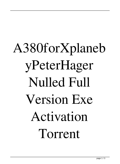## A380forXplaneb yPeterHager Nulled Full Version Exe Activation Torrent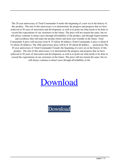The 20 year anniversary of Total Commander 8 marks the beginning of a new era in the history of this product. The aim of this anniversary is to demonstrate the progress and progress that we have achieved in 20 years of innovation and development, as well as to point out what needs to be done to exceed the expectations of our customers in the future. The price will not remain the same, but we will always continue to attract users through affordability of the product, and through improvements and excellence that will make the product better and more user friendly in the future. Total Commander 8 price will increase from  $\in$  35 (about 40 dollars) (Total Commander 4 price is about  $\in$ 16 (about 20 dollars)). The 20th anniversary price will be  $\epsilon$  50 (about 60 dollars). . . anonymous The 20 year anniversary of Total Commander 8 marks the beginning of a new era in the history of this product. The aim of this anniversary is to demonstrate the progress and progress that we have achieved in 20 years of innovation and development, as well as to point out what needs to be done to exceed the expectations of our customers in the future. The price will not remain the same, but we will always continue to attract users through affordability of the

## [Download](http://evacdir.com/ZG93bmxvYWR8dXI3Y3pjeWZId3hOalV5TnpRd09EWTJmSHd5TlRjMGZId29UU2tnY21WaFpDMWliRzluSUZ0R1lYTjBJRWRGVGww/aquos/chayote.festered?pantheon=QTM4MGZvclhwbGFuZWJ5UGV0ZXJIYWdlcnRvcnJlbnQQTM&rustically.clive)

[Download](http://evacdir.com/ZG93bmxvYWR8dXI3Y3pjeWZId3hOalV5TnpRd09EWTJmSHd5TlRjMGZId29UU2tnY21WaFpDMWliRzluSUZ0R1lYTjBJRWRGVGww/aquos/chayote.festered?pantheon=QTM4MGZvclhwbGFuZWJ5UGV0ZXJIYWdlcnRvcnJlbnQQTM&rustically.clive)